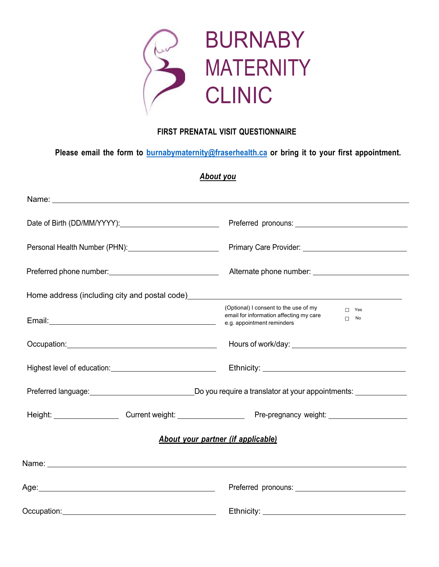

## **FIRST PRENATAL VISIT QUESTIONNAIRE**

**Please email the form to burnabymaternity@fraserhealth.ca or bring it to your first appointment.**

### *About you*

| Personal Health Number (PHN): 2000 2010 2020 2021                                                                                                                                                                              |                                                                                                                                           |
|--------------------------------------------------------------------------------------------------------------------------------------------------------------------------------------------------------------------------------|-------------------------------------------------------------------------------------------------------------------------------------------|
|                                                                                                                                                                                                                                |                                                                                                                                           |
| Home address (including city and postal code) example and the state of the state of the state of the state of the state of the state of the state of the state of the state of the state of the state of the state of the stat |                                                                                                                                           |
|                                                                                                                                                                                                                                | (Optional) I consent to the use of my<br>$\Box$ Yes<br>email for information affecting my care<br>$\Box$ No<br>e.g. appointment reminders |
|                                                                                                                                                                                                                                |                                                                                                                                           |
| Highest level of education: Management Control of the Microsetterm and Microsetterm and Microsetterm and Micros                                                                                                                |                                                                                                                                           |
|                                                                                                                                                                                                                                | Preferred language: <u>contract a contract of Dougland Dougland Dougland Charles a</u> translator at your appointments:                   |
|                                                                                                                                                                                                                                |                                                                                                                                           |
|                                                                                                                                                                                                                                | <b>About your partner (if applicable)</b>                                                                                                 |
|                                                                                                                                                                                                                                |                                                                                                                                           |
|                                                                                                                                                                                                                                |                                                                                                                                           |
|                                                                                                                                                                                                                                | Ethnicity: _______________________                                                                                                        |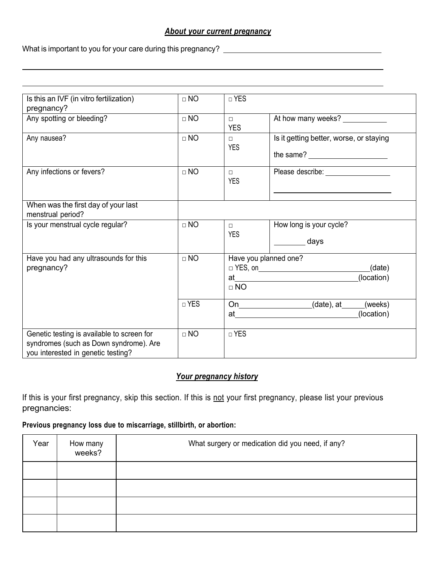### *About your current pregnancy*

What is important to you for your care during this pregnancy?

| Is this an IVF (in vitro fertilization)    | $\Box$ NO | □ YES                 |                                                                                                                                                                                                                                                                                                                                                                                                                         |
|--------------------------------------------|-----------|-----------------------|-------------------------------------------------------------------------------------------------------------------------------------------------------------------------------------------------------------------------------------------------------------------------------------------------------------------------------------------------------------------------------------------------------------------------|
| pregnancy?                                 |           |                       |                                                                                                                                                                                                                                                                                                                                                                                                                         |
| Any spotting or bleeding?                  | $\Box$ NO | $\Box$                |                                                                                                                                                                                                                                                                                                                                                                                                                         |
|                                            |           | <b>YES</b>            |                                                                                                                                                                                                                                                                                                                                                                                                                         |
| Any nausea?                                | $\Box$ NO | $\Box$                | Is it getting better, worse, or staying                                                                                                                                                                                                                                                                                                                                                                                 |
|                                            |           | <b>YES</b>            |                                                                                                                                                                                                                                                                                                                                                                                                                         |
|                                            |           |                       | the same? $\frac{1}{\sqrt{1-\frac{1}{2}}}\frac{1}{\sqrt{1-\frac{1}{2}}}\frac{1}{\sqrt{1-\frac{1}{2}}}\frac{1}{\sqrt{1-\frac{1}{2}}}\frac{1}{\sqrt{1-\frac{1}{2}}}\frac{1}{\sqrt{1-\frac{1}{2}}}\frac{1}{\sqrt{1-\frac{1}{2}}}\frac{1}{\sqrt{1-\frac{1}{2}}}\frac{1}{\sqrt{1-\frac{1}{2}}}\frac{1}{\sqrt{1-\frac{1}{2}}}\frac{1}{\sqrt{1-\frac{1}{2}}}\frac{1}{\sqrt{1-\frac{1}{2}}}\frac{1}{\sqrt{1-\frac{1}{2}}}\frac$ |
| Any infections or fevers?                  | $\Box$ NO | $\Box$                |                                                                                                                                                                                                                                                                                                                                                                                                                         |
|                                            |           | <b>YES</b>            |                                                                                                                                                                                                                                                                                                                                                                                                                         |
|                                            |           |                       |                                                                                                                                                                                                                                                                                                                                                                                                                         |
| When was the first day of your last        |           |                       |                                                                                                                                                                                                                                                                                                                                                                                                                         |
| menstrual period?                          |           |                       |                                                                                                                                                                                                                                                                                                                                                                                                                         |
| Is your menstrual cycle regular?           | $\Box$ NO | $\Box$                | How long is your cycle?                                                                                                                                                                                                                                                                                                                                                                                                 |
|                                            |           | <b>YES</b>            |                                                                                                                                                                                                                                                                                                                                                                                                                         |
|                                            |           |                       | days                                                                                                                                                                                                                                                                                                                                                                                                                    |
| Have you had any ultrasounds for this      | $\Box$ NO | Have you planned one? |                                                                                                                                                                                                                                                                                                                                                                                                                         |
| pregnancy?                                 |           |                       | $\Box$ YES, on (date)                                                                                                                                                                                                                                                                                                                                                                                                   |
|                                            |           |                       | (location)                                                                                                                                                                                                                                                                                                                                                                                                              |
|                                            |           | $\Box$ NO             |                                                                                                                                                                                                                                                                                                                                                                                                                         |
|                                            |           |                       |                                                                                                                                                                                                                                                                                                                                                                                                                         |
|                                            | □ YES     |                       | $(date)$ , at $(weeks)$<br>$On \_\_\_\_\_\_\_\_\_$                                                                                                                                                                                                                                                                                                                                                                      |
|                                            |           |                       | (location)<br>at the contract of the contract of the contract of the contract of the contract of the contract of the contract of the contract of the contract of the contract of the contract of the contract of the contract of the contrac                                                                                                                                                                            |
|                                            |           |                       |                                                                                                                                                                                                                                                                                                                                                                                                                         |
| Genetic testing is available to screen for | $\Box$ NO | □ YES                 |                                                                                                                                                                                                                                                                                                                                                                                                                         |
| syndromes (such as Down syndrome). Are     |           |                       |                                                                                                                                                                                                                                                                                                                                                                                                                         |
| you interested in genetic testing?         |           |                       |                                                                                                                                                                                                                                                                                                                                                                                                                         |

### *Your pregnancy history*

If this is your first pregnancy, skip this section. If this is not your first pregnancy, please list your previous pregnancies:

#### **Previous pregnancy loss due to miscarriage, stillbirth, or abortion:**

| Year | How many<br>weeks? | What surgery or medication did you need, if any? |
|------|--------------------|--------------------------------------------------|
|      |                    |                                                  |
|      |                    |                                                  |
|      |                    |                                                  |
|      |                    |                                                  |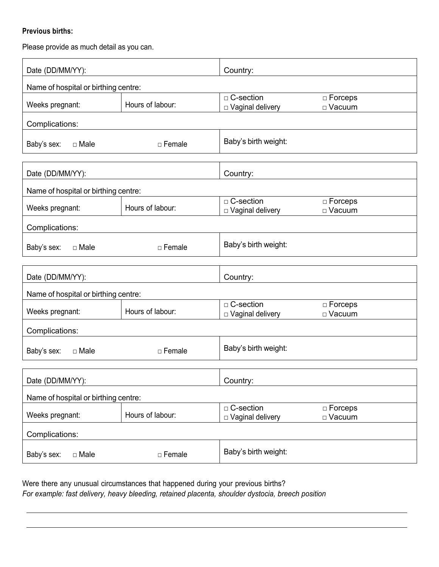### **Previous births:**

Please provide as much detail as you can.

| Date (DD/MM/YY):                     |                  | Country:                          |                            |  |
|--------------------------------------|------------------|-----------------------------------|----------------------------|--|
| Name of hospital or birthing centre: |                  |                                   |                            |  |
| Weeks pregnant:                      | Hours of labour: | □ C-section<br>□ Vaginal delivery | $\Box$ Forceps<br>□ Vacuum |  |
| Complications:                       |                  |                                   |                            |  |
| Baby's sex:<br>$\Box$ Male           | □ Female         | Baby's birth weight:              |                            |  |
| Date (DD/MM/YY):                     |                  | Country:                          |                            |  |
| Name of hospital or birthing centre: |                  |                                   |                            |  |
| Weeks pregnant:                      | Hours of labour: | □ C-section<br>□ Vaginal delivery | □ Forceps<br>□ Vacuum      |  |
| Complications:                       |                  |                                   |                            |  |
| Baby's sex:<br>$\Box$ Male           | $\Box$ Female    | Baby's birth weight:              |                            |  |
|                                      |                  |                                   |                            |  |
| Date (DD/MM/YY):                     |                  | Country:                          |                            |  |
| Name of hospital or birthing centre: |                  |                                   |                            |  |
| Weeks pregnant:                      | Hours of labour: | □ C-section<br>□ Vaginal delivery | $\Box$ Forceps<br>□ Vacuum |  |
| Complications:                       |                  |                                   |                            |  |
| Baby's sex:<br>$\Box$ Male           | □ Female         | Baby's birth weight:              |                            |  |
|                                      |                  |                                   |                            |  |
| Date (DD/MM/YY):                     |                  | Country:                          |                            |  |
| Name of hospital or birthing centre: |                  | □ C-section                       | $\Box$ Forceps             |  |
| Weeks pregnant:                      | Hours of labour: | $\Box$ Vaginal delivery           | □ Vacuum                   |  |
| Complications:                       |                  |                                   |                            |  |
| Baby's sex:<br>$\Box$ Male           | □ Female         | Baby's birth weight:              |                            |  |

Were there any unusual circumstances that happened during your previous births? *For example: fast delivery, heavy bleeding, retained placenta, shoulder dystocia, breech position*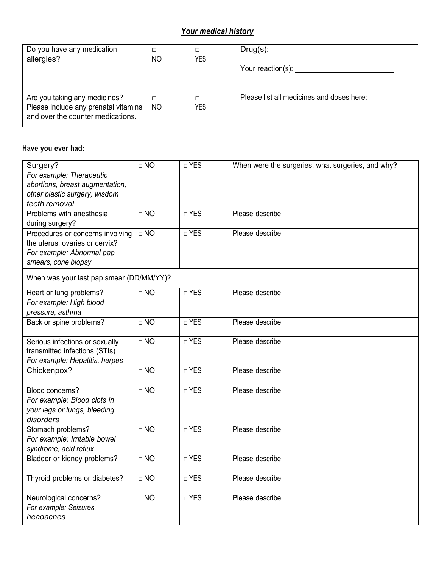# *Your medical history*

| Do you have any medication<br>allergies?                                                                   | NO        | YES | Your reaction(s): Vour reaction(s):       |
|------------------------------------------------------------------------------------------------------------|-----------|-----|-------------------------------------------|
| Are you taking any medicines?<br>Please include any prenatal vitamins<br>and over the counter medications. | <b>NO</b> | YES | Please list all medicines and doses here: |

## **Have you ever had:**

| Surgery?<br>For example: Therapeutic<br>abortions, breast augmentation,<br>other plastic surgery, wisdom<br>teeth removal | $\Box$ NO | □ YES                 | When were the surgeries, what surgeries, and why? |
|---------------------------------------------------------------------------------------------------------------------------|-----------|-----------------------|---------------------------------------------------|
| Problems with anesthesia<br>during surgery?                                                                               | $\Box$ NO | $\overline{\Box}$ YES | Please describe:                                  |
| Procedures or concerns involving<br>the uterus, ovaries or cervix?<br>For example: Abnormal pap<br>smears, cone biopsy    | $\Box$ NO | $\Box$ YES            | Please describe:                                  |
| When was your last pap smear (DD/MM/YY)?                                                                                  |           |                       |                                                   |
| Heart or lung problems?<br>For example: High blood<br>pressure, asthma                                                    | $\Box$ NO | □ YES                 | Please describe:                                  |
| Back or spine problems?                                                                                                   | $\Box$ NO | □ YES                 | Please describe:                                  |
| Serious infections or sexually<br>transmitted infections (STIs)<br>For example: Hepatitis, herpes                         | $\Box$ NO | □ YES                 | Please describe:                                  |
| Chickenpox?                                                                                                               | $\Box$ NO | □ YES                 | Please describe:                                  |
| Blood concerns?<br>For example: Blood clots in<br>your legs or lungs, bleeding<br>disorders                               | $\Box$ NO | □ YES                 | Please describe:                                  |
| Stomach problems?<br>For example: Irritable bowel<br>syndrome, acid reflux                                                | $\Box$ NO | □ YES                 | Please describe:                                  |
| Bladder or kidney problems?                                                                                               | $\Box$ NO | $\Box$ YES            | Please describe:                                  |
| Thyroid problems or diabetes?                                                                                             | $\Box$ NO | □ YES                 | Please describe:                                  |
| Neurological concerns?<br>For example: Seizures,<br>headaches                                                             | $\Box$ NO | □ YES                 | Please describe:                                  |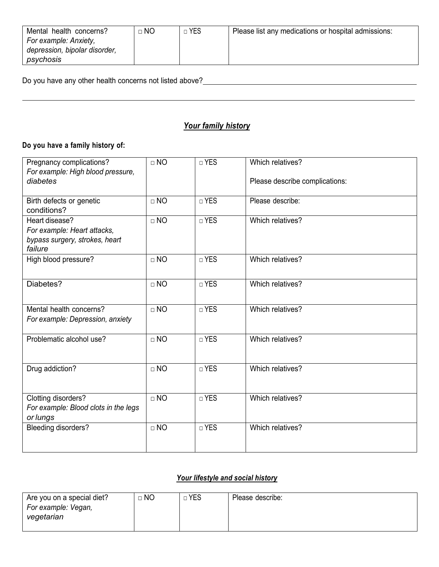| Mental health concerns?       | $\Box$ NO | ∃ YES | Please list any medications or hospital admissions: |
|-------------------------------|-----------|-------|-----------------------------------------------------|
| For example: Anxiety,         |           |       |                                                     |
| depression, bipolar disorder, |           |       |                                                     |
| psychosis                     |           |       |                                                     |

Do you have any other health concerns not listed above?<br>
<u>Do you have any other health concerns not listed above?</u><br>
<u>Letter and the contract of the contract of the contract of the contract of the contract of the contract o</u>

## *Your family history*

## **Do you have a family history of:**

| Pregnancy complications?                | $\Box$ NO | □ YES | Which relatives?               |
|-----------------------------------------|-----------|-------|--------------------------------|
| For example: High blood pressure,       |           |       |                                |
| diabetes                                |           |       | Please describe complications: |
|                                         | $\Box$ NO | □ YES | Please describe:               |
| Birth defects or genetic<br>conditions? |           |       |                                |
| Heart disease?                          | $\Box$ NO | □ YES | Which relatives?               |
| For example: Heart attacks,             |           |       |                                |
| bypass surgery, strokes, heart          |           |       |                                |
| failure                                 |           |       |                                |
| High blood pressure?                    | $\Box$ NO | □ YES | Which relatives?               |
|                                         |           |       |                                |
| Diabetes?                               | $\Box$ NO | □ YES | Which relatives?               |
|                                         |           |       |                                |
|                                         |           |       |                                |
| Mental health concerns?                 | $\Box$ NO | □ YES | Which relatives?               |
| For example: Depression, anxiety        |           |       |                                |
|                                         |           |       |                                |
| Problematic alcohol use?                | $\Box$ NO | □ YES | Which relatives?               |
|                                         |           |       |                                |
|                                         | $\Box$ NO | □ YES | Which relatives?               |
| Drug addiction?                         |           |       |                                |
|                                         |           |       |                                |
| Clotting disorders?                     | $\Box$ NO | □ YES | Which relatives?               |
| For example: Blood clots in the legs    |           |       |                                |
| or lungs                                |           |       |                                |
| Bleeding disorders?                     | $\Box$ NO | □ YES | Which relatives?               |
|                                         |           |       |                                |
|                                         |           |       |                                |

## *Your lifestyle and social history*

| Are you on a special diet? | $\Box$ NO | <b>YES</b><br>$\sim$ | Please describe: |
|----------------------------|-----------|----------------------|------------------|
| For example: Vegan,        |           |                      |                  |
| vegetarian                 |           |                      |                  |
|                            |           |                      |                  |